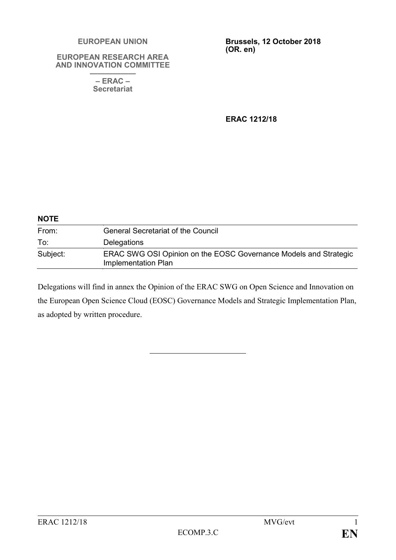#### **EUROPEAN UNION**

#### **EUROPEAN RESEARCH AREA AND INNOVATION COMMITTEE**

**—————— – ERAC – Secretariat**

**Brussels, 12 October 2018 (OR. en)**

**ERAC 1212/18**

| <b>NOTE</b> |                                                                                                |
|-------------|------------------------------------------------------------------------------------------------|
| From:       | <b>General Secretariat of the Council</b>                                                      |
| To:         | Delegations                                                                                    |
| Subject:    | ERAC SWG OSI Opinion on the EOSC Governance Models and Strategic<br><b>Implementation Plan</b> |

Delegations will find in annex the Opinion of the ERAC SWG on Open Science and Innovation on the European Open Science Cloud (EOSC) Governance Models and Strategic Implementation Plan, as adopted by written procedure.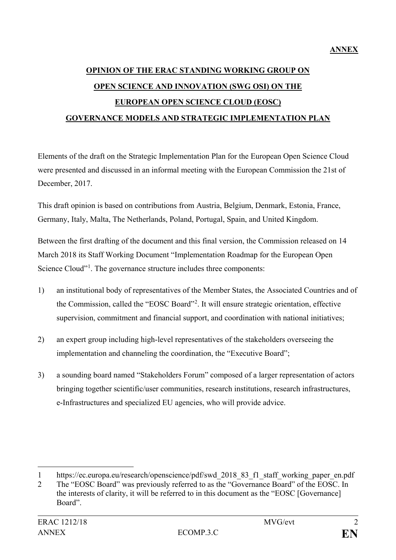# **OPINION OF THE ERAC STANDING WORKING GROUP ON OPEN SCIENCE AND INNOVATION (SWG OSI) ON THE EUROPEAN OPEN SCIENCE CLOUD (EOSC) GOVERNANCE MODELS AND STRATEGIC IMPLEMENTATION PLAN**

Elements of the draft on the Strategic Implementation Plan for the European Open Science Cloud were presented and discussed in an informal meeting with the European Commission the 21st of December, 2017.

This draft opinion is based on contributions from Austria, Belgium, Denmark, Estonia, France, Germany, Italy, Malta, The Netherlands, Poland, Portugal, Spain, and United Kingdom.

Between the first drafting of the document and this final version, the Commission released on 14 March 2018 its Staff Working Document "Implementation Roadmap for the European Open Science Cloud"<sup>[1](#page-1-0)</sup>. The governance structure includes three components:

- 1) an institutional body of representatives of the Member States, the Associated Countries and of the Commission, called the "EOSC Board"<sup>[2](#page-1-1)</sup>. It will ensure strategic orientation, effective supervision, commitment and financial support, and coordination with national initiatives;
- 2) an expert group including high-level representatives of the stakeholders overseeing the implementation and channeling the coordination, the "Executive Board";
- 3) a sounding board named "Stakeholders Forum" composed of a larger representation of actors bringing together scientific/user communities, research institutions, research infrastructures, e-Infrastructures and specialized EU agencies, who will provide advice.

 $\overline{a}$ 

<span id="page-1-0"></span><sup>1</sup> https://ec.europa.eu/research/openscience/pdf/swd\_2018\_83\_f1\_staff\_working\_paper\_en.pdf

<span id="page-1-1"></span><sup>2</sup> The "EOSC Board" was previously referred to as the "Governance Board" of the EOSC. In the interests of clarity, it will be referred to in this document as the "EOSC [Governance] Board".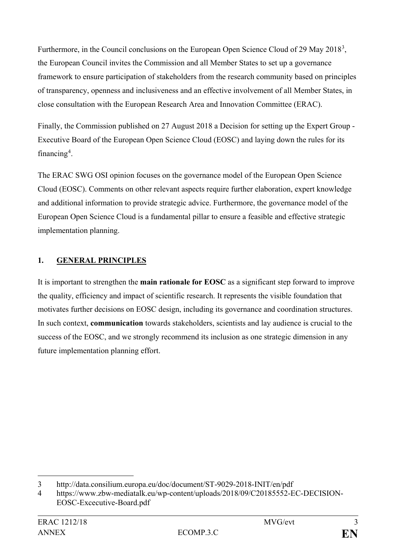Furthermore, in the Council conclusions on the European Open Science Cloud of 29 May 2018<sup>[3](#page-2-0)</sup>, the European Council invites the Commission and all Member States to set up a governance framework to ensure participation of stakeholders from the research community based on principles of transparency, openness and inclusiveness and an effective involvement of all Member States, in close consultation with the European Research Area and Innovation Committee (ERAC).

Finally, the Commission published on 27 August 2018 a Decision for setting up the Expert Group - Executive Board of the European Open Science Cloud (EOSC) and laying down the rules for its financing<sup>[4](#page-2-1)</sup>.

The ERAC SWG OSI opinion focuses on the governance model of the European Open Science Cloud (EOSC). Comments on other relevant aspects require further elaboration, expert knowledge and additional information to provide strategic advice. Furthermore, the governance model of the European Open Science Cloud is a fundamental pillar to ensure a feasible and effective strategic implementation planning.

### **1. GENERAL PRINCIPLES**

It is important to strengthen the **main rationale for EOSC** as a significant step forward to improve the quality, efficiency and impact of scientific research. It represents the visible foundation that motivates further decisions on EOSC design, including its governance and coordination structures. In such context, **communication** towards stakeholders, scientists and lay audience is crucial to the success of the EOSC, and we strongly recommend its inclusion as one strategic dimension in any future implementation planning effort.

<span id="page-2-0"></span> $\overline{a}$ 3 http://data.consilium.europa.eu/doc/document/ST-9029-2018-INIT/en/pdf

<span id="page-2-1"></span><sup>4</sup> https://www.zbw-mediatalk.eu/wp-content/uploads/2018/09/C20185552-EC-DECISION-EOSC-Excecutive-Board.pdf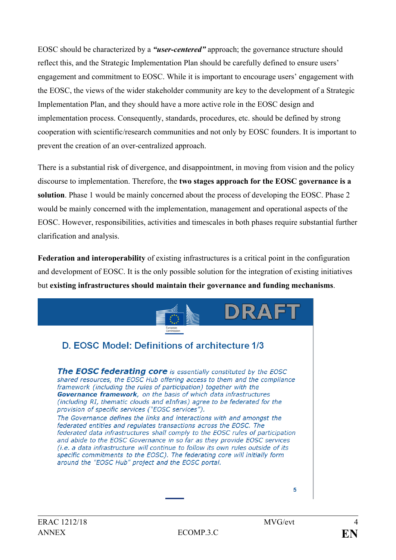EOSC should be characterized by a *"user-centered"* approach; the governance structure should reflect this, and the Strategic Implementation Plan should be carefully defined to ensure users' engagement and commitment to EOSC. While it is important to encourage users' engagement with the EOSC, the views of the wider stakeholder community are key to the development of a Strategic Implementation Plan, and they should have a more active role in the EOSC design and implementation process. Consequently, standards, procedures, etc. should be defined by strong cooperation with scientific/research communities and not only by EOSC founders. It is important to prevent the creation of an over-centralized approach.

There is a substantial risk of divergence, and disappointment, in moving from vision and the policy discourse to implementation. Therefore, the **two stages approach for the EOSC governance is a solution**. Phase 1 would be mainly concerned about the process of developing the EOSC. Phase 2 would be mainly concerned with the implementation, management and operational aspects of the EOSC. However, responsibilities, activities and timescales in both phases require substantial further clarification and analysis.

**Federation and interoperability** of existing infrastructures is a critical point in the configuration and development of EOSC. It is the only possible solution for the integration of existing initiatives but **existing infrastructures should maintain their governance and funding mechanisms**.



5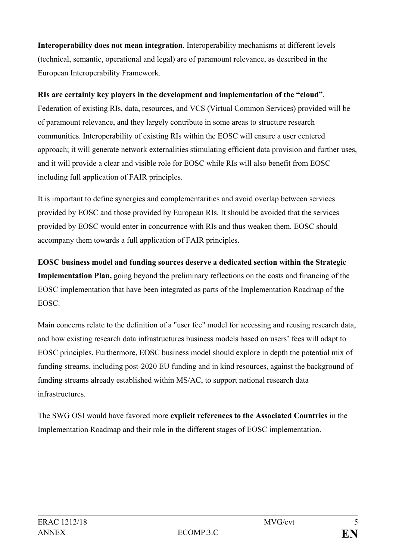**Interoperability does not mean integration**. Interoperability mechanisms at different levels (technical, semantic, operational and legal) are of paramount relevance, as described in the European Interoperability Framework.

### **RIs are certainly key players in the development and implementation of the "cloud"**.

Federation of existing RIs, data, resources, and VCS (Virtual Common Services) provided will be of paramount relevance, and they largely contribute in some areas to structure research communities. Interoperability of existing RIs within the EOSC will ensure a user centered approach; it will generate network externalities stimulating efficient data provision and further uses, and it will provide a clear and visible role for EOSC while RIs will also benefit from EOSC including full application of FAIR principles.

It is important to define synergies and complementarities and avoid overlap between services provided by EOSC and those provided by European RIs. It should be avoided that the services provided by EOSC would enter in concurrence with RIs and thus weaken them. EOSC should accompany them towards a full application of FAIR principles.

**EOSC business model and funding sources deserve a dedicated section within the Strategic Implementation Plan,** going beyond the preliminary reflections on the costs and financing of the EOSC implementation that have been integrated as parts of the Implementation Roadmap of the EOSC.

Main concerns relate to the definition of a "user fee" model for accessing and reusing research data, and how existing research data infrastructures business models based on users' fees will adapt to EOSC principles. Furthermore, EOSC business model should explore in depth the potential mix of funding streams, including post-2020 EU funding and in kind resources, against the background of funding streams already established within MS/AC, to support national research data infrastructures.

The SWG OSI would have favored more **explicit references to the Associated Countries** in the Implementation Roadmap and their role in the different stages of EOSC implementation.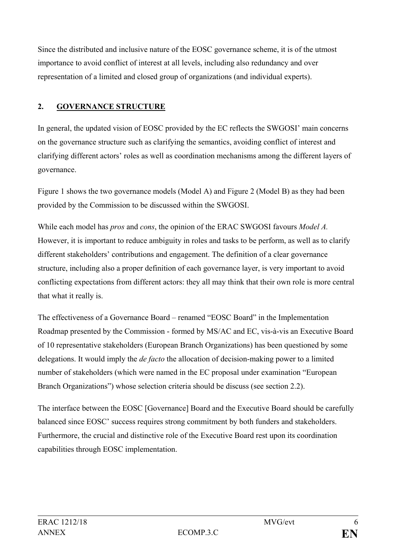Since the distributed and inclusive nature of the EOSC governance scheme, it is of the utmost importance to avoid conflict of interest at all levels, including also redundancy and over representation of a limited and closed group of organizations (and individual experts).

### **2. GOVERNANCE STRUCTURE**

In general, the updated vision of EOSC provided by the EC reflects the SWGOSI' main concerns on the governance structure such as clarifying the semantics, avoiding conflict of interest and clarifying different actors' roles as well as coordination mechanisms among the different layers of governance.

Figure 1 shows the two governance models (Model A) and Figure 2 (Model B) as they had been provided by the Commission to be discussed within the SWGOSI.

While each model has *pros* and *cons*, the opinion of the ERAC SWGOSI favours *Model A.* However, it is important to reduce ambiguity in roles and tasks to be perform, as well as to clarify different stakeholders' contributions and engagement. The definition of a clear governance structure, including also a proper definition of each governance layer, is very important to avoid conflicting expectations from different actors: they all may think that their own role is more central that what it really is.

The effectiveness of a Governance Board – renamed "EOSC Board" in the Implementation Roadmap presented by the Commission - formed by MS/AC and EC, vis-à-vis an Executive Board of 10 representative stakeholders (European Branch Organizations) has been questioned by some delegations. It would imply the *de facto* the allocation of decision-making power to a limited number of stakeholders (which were named in the EC proposal under examination "European Branch Organizations") whose selection criteria should be discuss (see section 2.2).

The interface between the EOSC [Governance] Board and the Executive Board should be carefully balanced since EOSC' success requires strong commitment by both funders and stakeholders. Furthermore, the crucial and distinctive role of the Executive Board rest upon its coordination capabilities through EOSC implementation.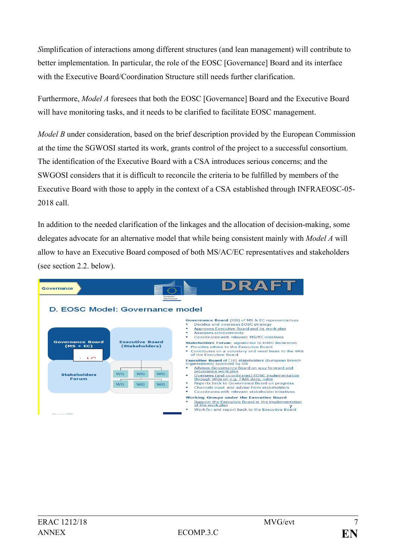*S*implification of interactions among different structures (and lean management) will contribute to better implementation. In particular, the role of the EOSC [Governance] Board and its interface with the Executive Board/Coordination Structure still needs further clarification.

Furthermore, *Model A* foresees that both the EOSC [Governance] Board and the Executive Board will have monitoring tasks, and it needs to be clarified to facilitate EOSC management.

*Model B* under consideration, based on the brief description provided by the European Commission at the time the SGWOSI started its work, grants control of the project to a successful consortium. The identification of the Executive Board with a CSA introduces serious concerns; and the SWGOSI considers that it is difficult to reconcile the criteria to be fulfilled by members of the Executive Board with those to apply in the context of a CSA established through INFRAEOSC-05- 2018 call.

In addition to the needed clarification of the linkages and the allocation of decision-making, some delegates advocate for an alternative model that while being consistent mainly with *Model A* will allow to have an Executive Board composed of both MS/AC/EC representatives and stakeholders (see section 2.2. below).

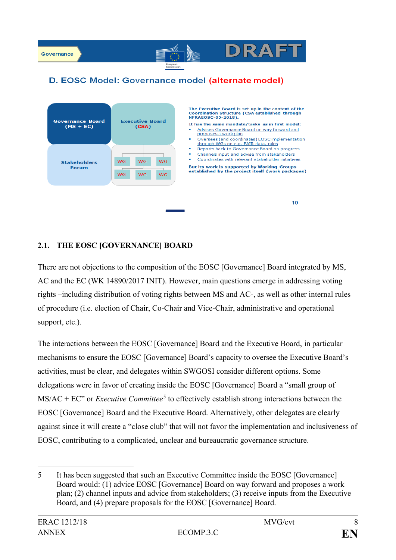

### D. EOSC Model: Governance model (alternate model)

óN

**DRAFT** 

 $10$ 



#### **2.1. THE EOSC [GOVERNANCE] BOARD**

There are not objections to the composition of the EOSC [Governance] Board integrated by MS, AC and the EC (WK 14890/2017 INIT). However, main questions emerge in addressing voting rights –including distribution of voting rights between MS and AC-, as well as other internal rules of procedure (i.e. election of Chair, Co-Chair and Vice-Chair, administrative and operational support, etc.).

The interactions between the EOSC [Governance] Board and the Executive Board, in particular mechanisms to ensure the EOSC [Governance] Board's capacity to oversee the Executive Board's activities, must be clear, and delegates within SWGOSI consider different options. Some delegations were in favor of creating inside the EOSC [Governance] Board a "small group of MS/AC + EC" or *Executive Committee*<sup>[5](#page-7-0)</sup> to effectively establish strong interactions between the EOSC [Governance] Board and the Executive Board. Alternatively, other delegates are clearly against since it will create a "close club" that will not favor the implementation and inclusiveness of EOSC, contributing to a complicated, unclear and bureaucratic governance structure.

 $\overline{a}$ 

<span id="page-7-0"></span><sup>5</sup> It has been suggested that such an Executive Committee inside the EOSC [Governance] Board would: (1) advice EOSC [Governance] Board on way forward and proposes a work plan; (2) channel inputs and advice from stakeholders; (3) receive inputs from the Executive Board, and (4) prepare proposals for the EOSC [Governance] Board.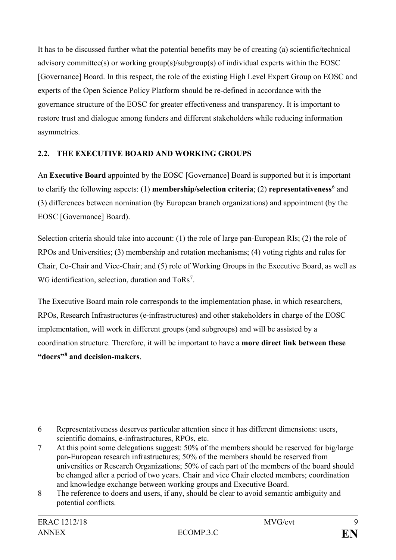It has to be discussed further what the potential benefits may be of creating (a) scientific/technical advisory committee(s) or working group(s)/subgroup(s) of individual experts within the EOSC [Governance] Board. In this respect, the role of the existing High Level Expert Group on EOSC and experts of the Open Science Policy Platform should be re-defined in accordance with the governance structure of the EOSC for greater effectiveness and transparency. It is important to restore trust and dialogue among funders and different stakeholders while reducing information asymmetries.

### **2.2. THE EXECUTIVE BOARD AND WORKING GROUPS**

An **Executive Board** appointed by the EOSC [Governance] Board is supported but it is important to clarify the following aspects: (1) **membership/selection criteria**; (2) **representativeness**[6](#page-8-0) and (3) differences between nomination (by European branch organizations) and appointment (by the EOSC [Governance] Board).

Selection criteria should take into account: (1) the role of large pan-European RIs; (2) the role of RPOs and Universities; (3) membership and rotation mechanisms; (4) voting rights and rules for Chair, Co-Chair and Vice-Chair; and (5) role of Working Groups in the Executive Board, as well as WG identification, selection, duration and ToRs<sup>[7](#page-8-1)</sup>.

The Executive Board main role corresponds to the implementation phase, in which researchers, RPOs, Research Infrastructures (e-infrastructures) and other stakeholders in charge of the EOSC implementation, will work in different groups (and subgroups) and will be assisted by a coordination structure. Therefore, it will be important to have a **more direct link between these "doers"[8](#page-8-2) and decision-makers**.

<span id="page-8-0"></span> $\overline{a}$ 6 Representativeness deserves particular attention since it has different dimensions: users, scientific domains, e-infrastructures, RPOs, etc.

<span id="page-8-1"></span><sup>7</sup> At this point some delegations suggest: 50% of the members should be reserved for big/large pan-European research infrastructures; 50% of the members should be reserved from universities or Research Organizations; 50% of each part of the members of the board should be changed after a period of two years. Chair and vice Chair elected members; coordination and knowledge exchange between working groups and Executive Board.

<span id="page-8-2"></span><sup>8</sup> The reference to doers and users, if any, should be clear to avoid semantic ambiguity and potential conflicts.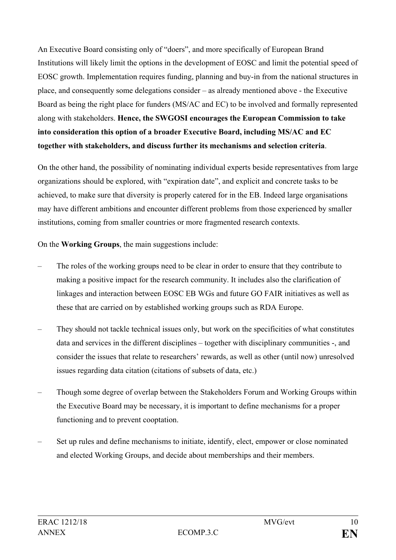An Executive Board consisting only of "doers", and more specifically of European Brand Institutions will likely limit the options in the development of EOSC and limit the potential speed of EOSC growth. Implementation requires funding, planning and buy-in from the national structures in place, and consequently some delegations consider – as already mentioned above - the Executive Board as being the right place for funders (MS/AC and EC) to be involved and formally represented along with stakeholders. **Hence, the SWGOSI encourages the European Commission to take into consideration this option of a broader Executive Board, including MS/AC and EC together with stakeholders, and discuss further its mechanisms and selection criteria**.

On the other hand, the possibility of nominating individual experts beside representatives from large organizations should be explored, with "expiration date", and explicit and concrete tasks to be achieved, to make sure that diversity is properly catered for in the EB. Indeed large organisations may have different ambitions and encounter different problems from those experienced by smaller institutions, coming from smaller countries or more fragmented research contexts.

On the **Working Groups**, the main suggestions include:

- The roles of the working groups need to be clear in order to ensure that they contribute to making a positive impact for the research community. It includes also the clarification of linkages and interaction between EOSC EB WGs and future GO FAIR initiatives as well as these that are carried on by established working groups such as RDA Europe.
- They should not tackle technical issues only, but work on the specificities of what constitutes data and services in the different disciplines – together with disciplinary communities -, and consider the issues that relate to researchers' rewards, as well as other (until now) unresolved issues regarding data citation (citations of subsets of data, etc.)
- Though some degree of overlap between the Stakeholders Forum and Working Groups within the Executive Board may be necessary, it is important to define mechanisms for a proper functioning and to prevent cooptation.
- Set up rules and define mechanisms to initiate, identify, elect, empower or close nominated and elected Working Groups, and decide about memberships and their members.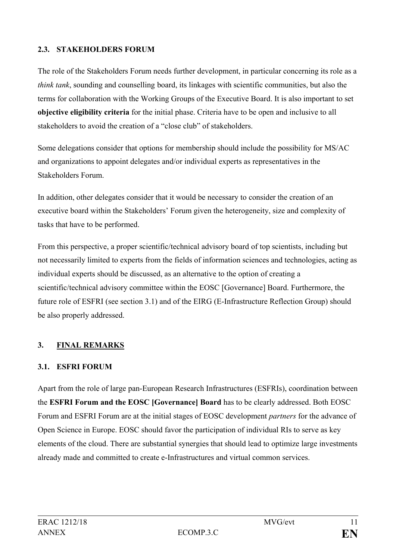### **2.3. STAKEHOLDERS FORUM**

The role of the Stakeholders Forum needs further development, in particular concerning its role as a *think tank*, sounding and counselling board, its linkages with scientific communities, but also the terms for collaboration with the Working Groups of the Executive Board. It is also important to set **objective eligibility criteria** for the initial phase. Criteria have to be open and inclusive to all stakeholders to avoid the creation of a "close club" of stakeholders.

Some delegations consider that options for membership should include the possibility for MS/AC and organizations to appoint delegates and/or individual experts as representatives in the Stakeholders Forum.

In addition, other delegates consider that it would be necessary to consider the creation of an executive board within the Stakeholders' Forum given the heterogeneity, size and complexity of tasks that have to be performed.

From this perspective, a proper scientific/technical advisory board of top scientists, including but not necessarily limited to experts from the fields of information sciences and technologies, acting as individual experts should be discussed, as an alternative to the option of creating a scientific/technical advisory committee within the EOSC [Governance] Board. Furthermore, the future role of ESFRI (see section 3.1) and of the EIRG (E-Infrastructure Reflection Group) should be also properly addressed.

### **3. FINAL REMARKS**

### **3.1. ESFRI FORUM**

Apart from the role of large pan-European Research Infrastructures (ESFRIs), coordination between the **ESFRI Forum and the EOSC [Governance] Board** has to be clearly addressed. Both EOSC Forum and ESFRI Forum are at the initial stages of EOSC development *partners* for the advance of Open Science in Europe. EOSC should favor the participation of individual RIs to serve as key elements of the cloud. There are substantial synergies that should lead to optimize large investments already made and committed to create e-Infrastructures and virtual common services.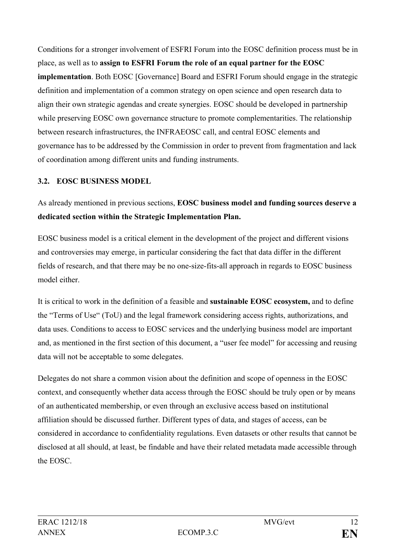Conditions for a stronger involvement of ESFRI Forum into the EOSC definition process must be in place, as well as to **assign to ESFRI Forum the role of an equal partner for the EOSC implementation**. Both EOSC [Governance] Board and ESFRI Forum should engage in the strategic definition and implementation of a common strategy on open science and open research data to align their own strategic agendas and create synergies. EOSC should be developed in partnership while preserving EOSC own governance structure to promote complementarities. The relationship between research infrastructures, the INFRAEOSC call, and central EOSC elements and governance has to be addressed by the Commission in order to prevent from fragmentation and lack of coordination among different units and funding instruments.

### **3.2. EOSC BUSINESS MODEL**

As already mentioned in previous sections, **EOSC business model and funding sources deserve a dedicated section within the Strategic Implementation Plan.**

EOSC business model is a critical element in the development of the project and different visions and controversies may emerge, in particular considering the fact that data differ in the different fields of research, and that there may be no one-size-fits-all approach in regards to EOSC business model either.

It is critical to work in the definition of a feasible and **sustainable EOSC ecosystem,** and to define the "Terms of Use" (ToU) and the legal framework considering access rights, authorizations, and data uses. Conditions to access to EOSC services and the underlying business model are important and, as mentioned in the first section of this document, a "user fee model" for accessing and reusing data will not be acceptable to some delegates.

Delegates do not share a common vision about the definition and scope of openness in the EOSC context, and consequently whether data access through the EOSC should be truly open or by means of an authenticated membership, or even through an exclusive access based on institutional affiliation should be discussed further. Different types of data, and stages of access, can be considered in accordance to confidentiality regulations. Even datasets or other results that cannot be disclosed at all should, at least, be findable and have their related metadata made accessible through the EOSC.